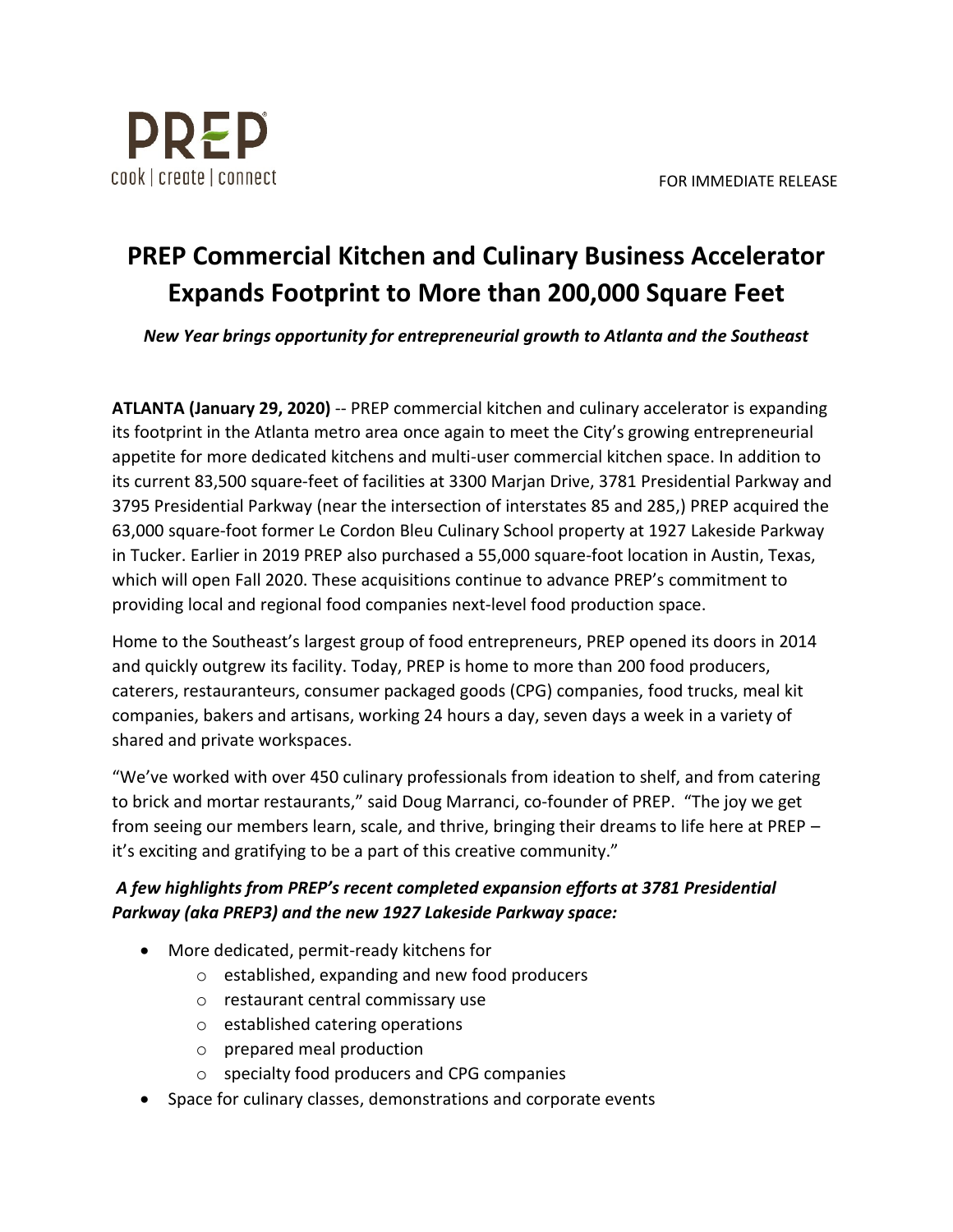

## **PREP Commercial Kitchen and Culinary Business Accelerator Expands Footprint to More than 200,000 Square Feet**

*New Year brings opportunity for entrepreneurial growth to Atlanta and the Southeast*

**ATLANTA (January 29, 2020)** -- PREP commercial kitchen and culinary accelerator is expanding its footprint in the Atlanta metro area once again to meet the City's growing entrepreneurial appetite for more dedicated kitchens and multi-user commercial kitchen space. In addition to its current 83,500 square-feet of facilities at 3300 Marjan Drive, 3781 Presidential Parkway and 3795 Presidential Parkway (near the intersection of interstates 85 and 285,) PREP acquired the 63,000 square-foot former Le Cordon Bleu Culinary School property at 1927 Lakeside Parkway in Tucker. Earlier in 2019 PREP also purchased a 55,000 square-foot location in Austin, Texas, which will open Fall 2020. These acquisitions continue to advance PREP's commitment to providing local and regional food companies next-level food production space.

Home to the Southeast's largest group of food entrepreneurs, PREP opened its doors in 2014 and quickly outgrew its facility. Today, PREP is home to more than 200 food producers, caterers, restauranteurs, consumer packaged goods (CPG) companies, food trucks, meal kit companies, bakers and artisans, working 24 hours a day, seven days a week in a variety of shared and private workspaces.

"We've worked with over 450 culinary professionals from ideation to shelf, and from catering to brick and mortar restaurants," said Doug Marranci, co-founder of PREP. "The joy we get from seeing our members learn, scale, and thrive, bringing their dreams to life here at PREP – it's exciting and gratifying to be a part of this creative community."

## *A few highlights from PREP's recent completed expansion efforts at 3781 Presidential Parkway (aka PREP3) and the new 1927 Lakeside Parkway space:*

- More dedicated, permit-ready kitchens for
	- o established, expanding and new food producers
	- o restaurant central commissary use
	- o established catering operations
	- o prepared meal production
	- o specialty food producers and CPG companies
- Space for culinary classes, demonstrations and corporate events